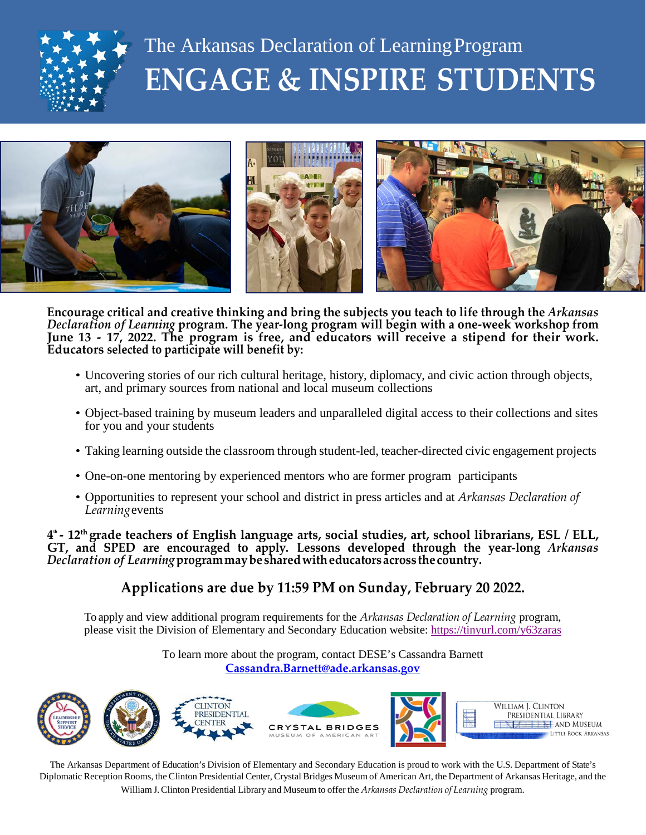

## The Arkansas Declaration of LearningProgram **ENGAGE & INSPIRE STUDENTS**



**Encourage critical and creative thinking and bring the subjects you teach to life through the** *Arkansas Declaration of Learning* **program. The year-long program will begin with a one-week workshop from June 13 - 17, 2022. The program is free, and educators will receive a stipend for their work. Educators selected to participate will benefit by:**

- Uncovering stories of our rich cultural heritage, history, diplomacy, and civic action through objects, art, and primary sources from national and local museum collections
- Object-based training by museum leaders and unparalleled digital access to their collections and sites for you and your students
- Taking learning outside the classroom through student-led, teacher-directed civic engagement projects
- One-on-one mentoring by experienced mentors who are former program participants
- Opportunities to represent your school and district in press articles and at *Arkansas Declaration of Learning*events

d" - 12th grade teachers of English language arts, social studies, art, school librarians, ESL / ELL, **GT, and SPED are encouraged to apply. Lessons developed through the year-long** *Arkansas Declaration of Learning***programmaybesharedwitheducatorsacross thecountry.**

## **Applications are due by 11:59 PM on Sunday, February 20 2022.**

To apply and view additional program requirements for the *Arkansas Declaration of Learning* program, please visit the Division of Elementary and Secondary Education website:<https://tinyurl.com/y63zaras>

> To learn more about the program, contact DESE's Cassandra Barnett **[Cassandra.Barnett@ade.arkansas.gov](mailto:Cassandra.Barnett@ade.arkansas.gov)**



The Arkansas Department of Education's Division of Elementary and Secondary Education is proud to work with the U.S. Department of State's Diplomatic Reception Rooms, the Clinton Presidential Center, Crystal Bridges Museum of American Art, the Department of Arkansas Heritage, and the William J.Clinton Presidential Library and Museum to offer the *Arkansas Declaration of Learning* program.